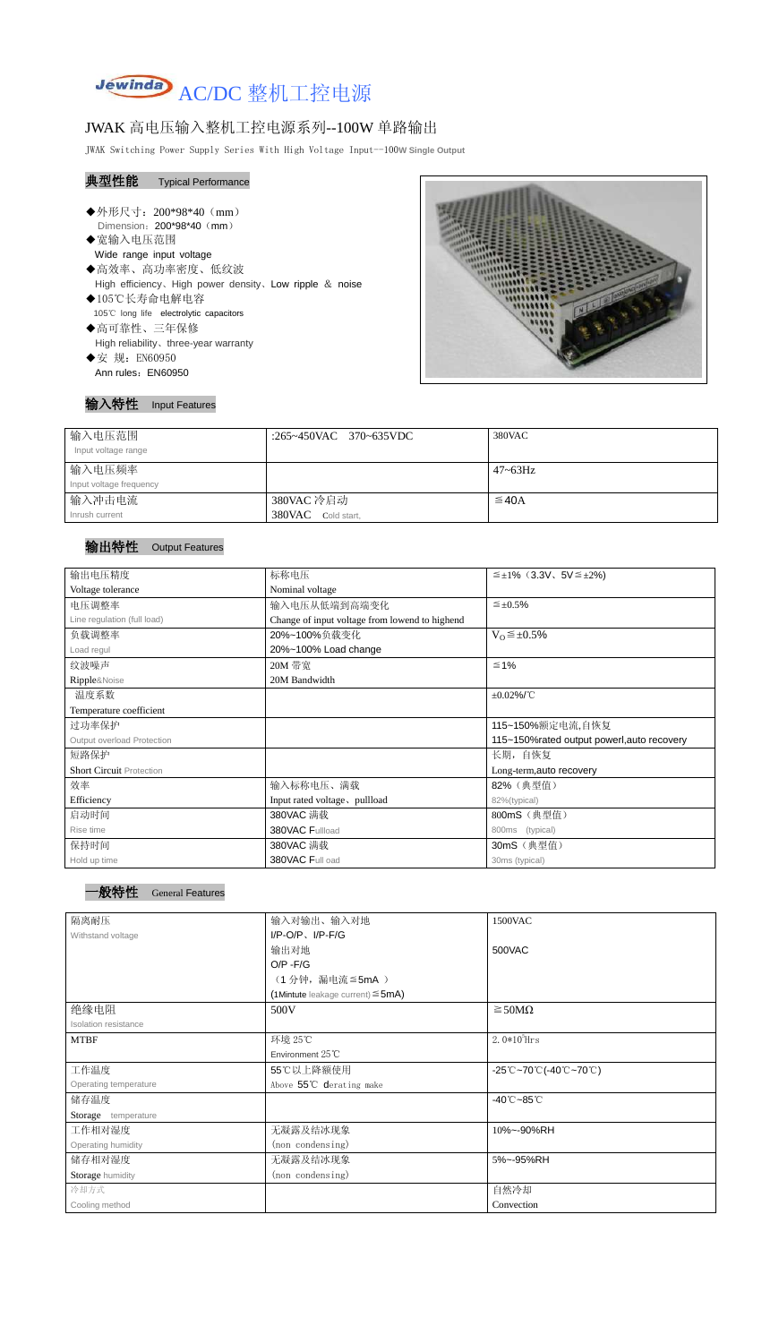

# JWAK 高电压输入整机工控电源系列--100W 单路输出

JWAK Switching Power Supply Series With High Voltage Input--100**W Single Output**

## 典型性能 Typical Performance

- ◆外形尺寸: 200\*98\*40 (mm) Dimension: 200\*98\*40 (mm)
- ◆宽输入电压范围 Wide range input voltage
- ◆高效率、高功率密度、低纹波 High efficiency、High power density、Low ripple & noise ◆105℃长寿命电解电容
- 105℃ long life electrolytic capacitors
- ◆高可靠性、三年保修 High reliability、three-year warranty
- ◆安 规: EN60950 Ann rules: EN60950

#### 输入特性 Input Features



| 输入电压范围<br>Input voltage range     | :265~450VAC 370~635VDC | 380VAC          |
|-----------------------------------|------------------------|-----------------|
| 输入电压频率<br>Input voltage frequency |                        | $47 \sim 63$ Hz |
| 输入冲击电流                            | 380VAC 冷启动             | $\leq$ 40A      |
| Inrush current                    | 380VAC Cold start,     |                 |

## 输出特性 Output Features

#### 一般特性 General Features

| 输出电压精度                          | 标称电压                                           | $\leq \pm 1\%$ (3.3V, 5V $\leq \pm 2\%$ )   |  |
|---------------------------------|------------------------------------------------|---------------------------------------------|--|
| Voltage tolerance               | Nominal voltage                                |                                             |  |
| 电压调整率                           | 输入电压从低端到高端变化                                   | $\leq \pm 0.5\%$                            |  |
| Line regulation (full load)     | Change of input voltage from lowend to highend |                                             |  |
| 负载调整率                           | 20%~100%负载变化                                   | $V_0 \leq \pm 0.5\%$                        |  |
| Load regul                      | 20%~100% Load change                           |                                             |  |
| 纹波噪声                            | 20M 带宽                                         | $\leq 1\%$                                  |  |
| Ripple&Noise                    | 20M Bandwidth                                  |                                             |  |
| 温度系数                            |                                                | $\pm 0.02\%$ /°C                            |  |
| Temperature coefficient         |                                                |                                             |  |
| 过功率保护                           |                                                | 115~150%额定电流,自恢复                            |  |
| Output overload Protection      |                                                | 115~150% rated output powerl, auto recovery |  |
| 短路保护                            |                                                | 长期, 自恢复                                     |  |
| <b>Short Circuit Protection</b> |                                                | Long-term, auto recovery                    |  |
| 效率                              | 输入标称电压、满载                                      | 82% (典型值)                                   |  |
| Efficiency                      | Input rated voltage, pullload                  | 82%(typical)                                |  |
| 启动时间                            | 380VAC 满载                                      | 800mS (典型值)                                 |  |
| Rise time                       | 380VAC Fullload                                | 800ms (typical)                             |  |
| 保持时间                            | 380VAC 满载                                      | 30mS (典型值)                                  |  |

| Hold up time |  |  |  |
|--------------|--|--|--|
|--------------|--|--|--|

380VAC Full oad

30ms (typical)

| 隔离耐压                  | 输入对输出、输入对地                                | 1500VAC                                                                       |
|-----------------------|-------------------------------------------|-------------------------------------------------------------------------------|
| Withstand voltage     | $I/P-O/P$ , $I/P-F/G$                     |                                                                               |
|                       | 输出对地                                      | 500VAC                                                                        |
|                       | $O/P - F/G$                               |                                                                               |
|                       | (1分钟, 漏电流 ≦ 5mA)                          |                                                                               |
|                       | $(1$ Mintute leakage current) $\leq$ 5mA) |                                                                               |
| 绝缘电阻                  | 500V                                      | $\geq$ 50M $\Omega$                                                           |
| Isolation resistance  |                                           |                                                                               |
| <b>MTBF</b>           | 环境 25℃                                    | 2. $0*10^5$ Hrs                                                               |
|                       | Environment $25^{\circ}$ C                |                                                                               |
| 工作温度                  | 55℃以上降额使用                                 | $-25^{\circ}\text{C}-70^{\circ}\text{C}$ (-40 $\text{C}-70^{\circ}\text{C}$ ) |
| Operating temperature | Above 55°C derating make                  |                                                                               |
| 储存温度                  |                                           | $-40^{\circ}$ C $-85^{\circ}$ C                                               |
| Storage temperature   |                                           |                                                                               |
| 工作相对湿度                | 无凝露及结冰现象                                  | 10%~-90%RH                                                                    |
| Operating humidity    | (non condensing)                          |                                                                               |
| 储存相对湿度                | 无凝露及结冰现象                                  | 5%~-95%RH                                                                     |
| Storage humidity      | (non condensing)                          |                                                                               |
| 冷却方式                  |                                           | 自然冷却                                                                          |
| Cooling method        |                                           | Convection                                                                    |